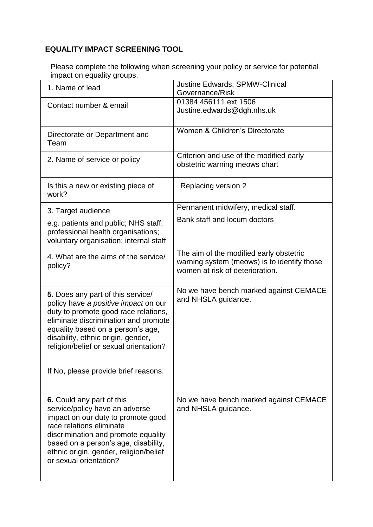## **EQUALITY IMPACT SCREENING TOOL**

Please complete the following when screening your policy or service for potential impact on equality groups.

| 1. Name of lead                                                                                                                                                                                                                                                                                                        | <b>Justine Edwards, SPMW-Clinical</b><br>Governance/Risk                                                                  |
|------------------------------------------------------------------------------------------------------------------------------------------------------------------------------------------------------------------------------------------------------------------------------------------------------------------------|---------------------------------------------------------------------------------------------------------------------------|
| Contact number & email                                                                                                                                                                                                                                                                                                 | 01384 456111 ext 1506<br>Justine.edwards@dgh.nhs.uk                                                                       |
| Directorate or Department and<br>Team                                                                                                                                                                                                                                                                                  | Women & Children's Directorate                                                                                            |
| 2. Name of service or policy                                                                                                                                                                                                                                                                                           | Criterion and use of the modified early<br>obstetric warning meows chart                                                  |
| Is this a new or existing piece of<br>work?                                                                                                                                                                                                                                                                            | Replacing version 2                                                                                                       |
| 3. Target audience                                                                                                                                                                                                                                                                                                     | Permanent midwifery, medical staff.                                                                                       |
| e.g. patients and public; NHS staff;<br>professional health organisations;<br>voluntary organisation; internal staff                                                                                                                                                                                                   | Bank staff and locum doctors                                                                                              |
| 4. What are the aims of the service/<br>policy?                                                                                                                                                                                                                                                                        | The aim of the modified early obstetric<br>warning system (meows) is to identify those<br>women at risk of deterioration. |
| 5. Does any part of this service/<br>policy have a positive impact on our<br>duty to promote good race relations,<br>eliminate discrimination and promote<br>equality based on a person's age,<br>disability, ethnic origin, gender,<br>religion/belief or sexual orientation?<br>If No, please provide brief reasons. | No we have bench marked against CEMACE<br>and NHSLA guidance.                                                             |
|                                                                                                                                                                                                                                                                                                                        |                                                                                                                           |
| 6. Could any part of this<br>service/policy have an adverse<br>impact on our duty to promote good<br>race relations eliminate<br>discrimination and promote equality<br>based on a person's age, disability,<br>ethnic origin, gender, religion/belief<br>or sexual orientation?                                       | No we have bench marked against CEMACE<br>and NHSLA guidance.                                                             |